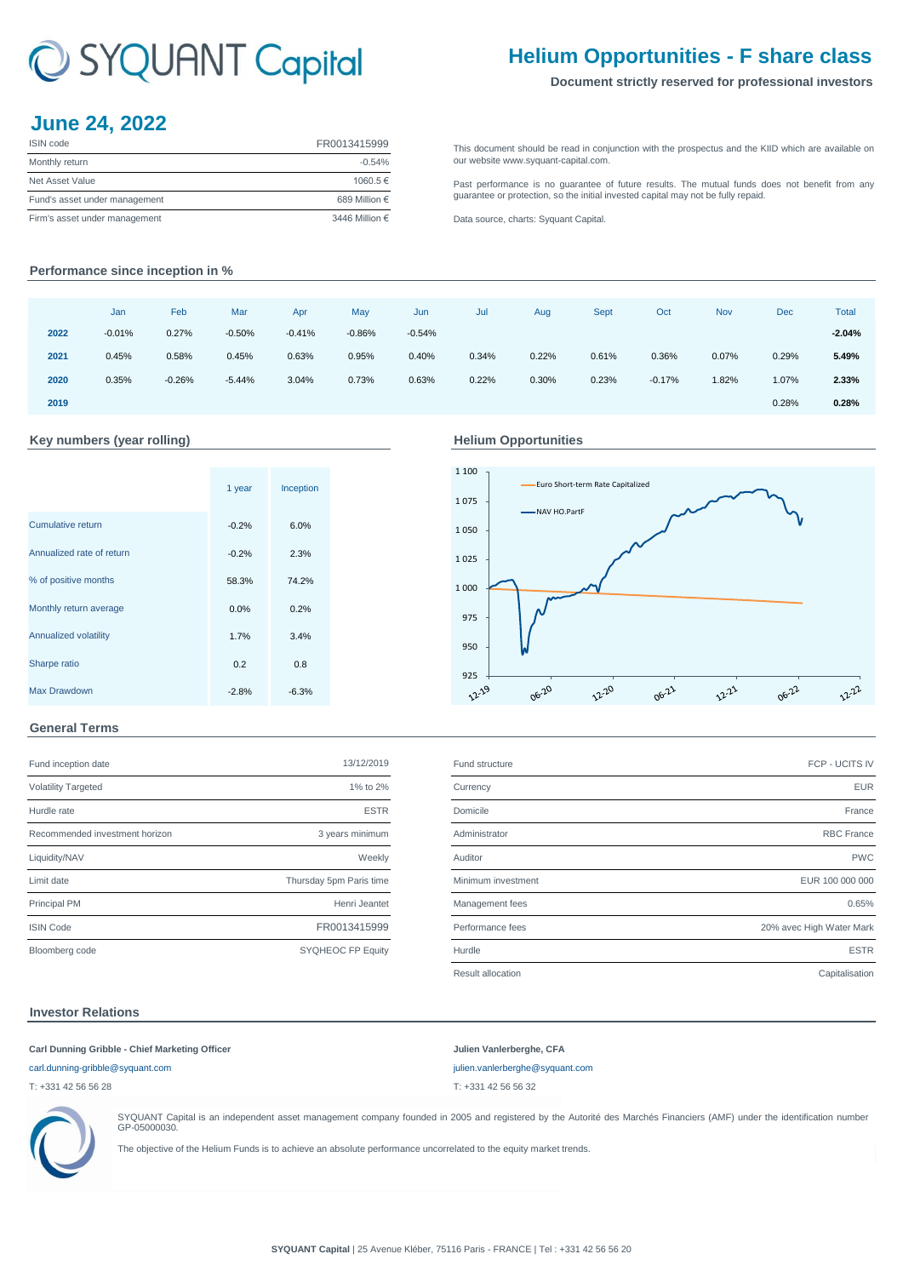# C SYQUANT Capital

# **Helium Opportunities - F share class**

#### **Document strictly reserved for professional investors**

## **June 24, 2022**

| <b>ISIN</b> code              | FR0013415999   |
|-------------------------------|----------------|
| Monthly return                | $-0.54%$       |
| Net Asset Value               | 1060.5€        |
| Fund's asset under management | 689 Million €  |
| Firm's asset under management | 3446 Million € |

[This](http://www.syquant-capital.fr/publications-syquant-capital.php) [document](http://www.syquant-capital.fr/publications-syquant-capital.php) [should](http://www.syquant-capital.fr/publications-syquant-capital.php) be read in [conjunction](http://www.syquant-capital.fr/publications-syquant-capital.php) with the prospectus and the KIID which are available on [our website ww](http://www.syquant-capital.fr/publications-syquant-capital.php)w.syquant-capital.com.

[Past](http://www.syquant-capital.fr/publications-syquant-capital.php) [performance](http://www.syquant-capital.fr/publications-syquant-capital.php) is no [guarantee](http://www.syquant-capital.fr/publications-syquant-capital.php) of future results. The mutual funds does not benefit from any [guarantee or p](http://www.syquant-capital.fr/publications-syquant-capital.php)rotection, so the initial invested capital may not be fully repaid.

[Data source, c](http://www.syquant-capital.fr/publications-syquant-capital.php)harts: Syquant Capital.

### **Performance since inception in %**

|      | Jan      | Feb      | Mar      | Apr      | May      | Jun      | Jul   | Aug   | Sept  | Oct      | <b>Nov</b> | <b>Dec</b> | <b>Total</b> |
|------|----------|----------|----------|----------|----------|----------|-------|-------|-------|----------|------------|------------|--------------|
| 2022 | $-0.01%$ | 0.27%    | $-0.50%$ | $-0.41%$ | $-0.86%$ | $-0.54%$ |       |       |       |          |            |            | $-2.04%$     |
| 2021 | 0.45%    | 0.58%    | 0.45%    | 0.63%    | 0.95%    | 0.40%    | 0.34% | 0.22% | 0.61% | 0.36%    | 0.07%      | 0.29%      | 5.49%        |
| 2020 | 0.35%    | $-0.26%$ | $-5.44%$ | 3.04%    | 0.73%    | 0.63%    | 0.22% | 0.30% | 0.23% | $-0.17%$ | 1.82%      | 1.07%      | 2.33%        |
| 2019 |          |          |          |          |          |          |       |       |       |          |            | 0.28%      | 0.28%        |

#### **Key numbers (year rolling) Helium Opportunities**

|                              | 1 year  | Inception |  |
|------------------------------|---------|-----------|--|
| Cumulative return            | $-0.2%$ | 6.0%      |  |
| Annualized rate of return    | $-0.2%$ | 2.3%      |  |
| % of positive months         | 58.3%   | 74.2%     |  |
| Monthly return average       | 0.0%    | 0.2%      |  |
| <b>Annualized volatility</b> | 1.7%    | 3.4%      |  |
| Sharpe ratio                 | 0.2     | 0.8       |  |
| Max Drawdown                 | $-2.8%$ | $-6.3%$   |  |



#### **General Terms**

| Fund inception date            | 13/12/2019              |
|--------------------------------|-------------------------|
| <b>Volatility Targeted</b>     | 1% to 2%                |
| Hurdle rate                    | <b>ESTR</b>             |
| Recommended investment horizon | 3 years minimum         |
| Liquidity/NAV                  | Weekly                  |
| Limit date                     | Thursday 5pm Paris time |
| <b>Principal PM</b>            | Henri Jeantet           |
| <b>ISIN Code</b>               | FR0013415999            |
| Bloomberg code                 | SYQHEOC FP Equity       |

| Fund inception date            | 13/12/2019              | Fund structure     | FCP - UCITS IV           |
|--------------------------------|-------------------------|--------------------|--------------------------|
| <b>Volatility Targeted</b>     | 1% to 2%                | Currency           | <b>EUR</b>               |
| Hurdle rate                    | <b>ESTR</b>             | Domicile           | France                   |
| Recommended investment horizon | 3 years minimum         | Administrator      | <b>RBC</b> France        |
| Liquidity/NAV                  | Weekly                  | Auditor            | <b>PWC</b>               |
| Limit date                     | Thursday 5pm Paris time | Minimum investment | EUR 100 000 000          |
| <b>Principal PM</b>            | Henri Jeantet           | Management fees    | 0.65%                    |
| <b>ISIN Code</b>               | FR0013415999            | Performance fees   | 20% avec High Water Mark |
| Bloomberg code                 | SYQHEOC FP Equity       | Hurdle             | <b>ESTR</b>              |
|                                |                         | Result allocation  | Capitalisation           |

#### **Investor Relations**

#### **Carl Dunning Gribble - Chief Marketing Officer Julien Vanlerberghe, CFA**

T: +331 42 56 56 28 T: +331 42 56 56 32





SYQUANT Capital is an independent asset management company founded in 2005 and registered by the Autorité des Marchés Financiers (AMF) under the identification number GP-05000030.

The objective of the Helium Funds is to achieve an absolute performance uncorrelated to the equity market trends.